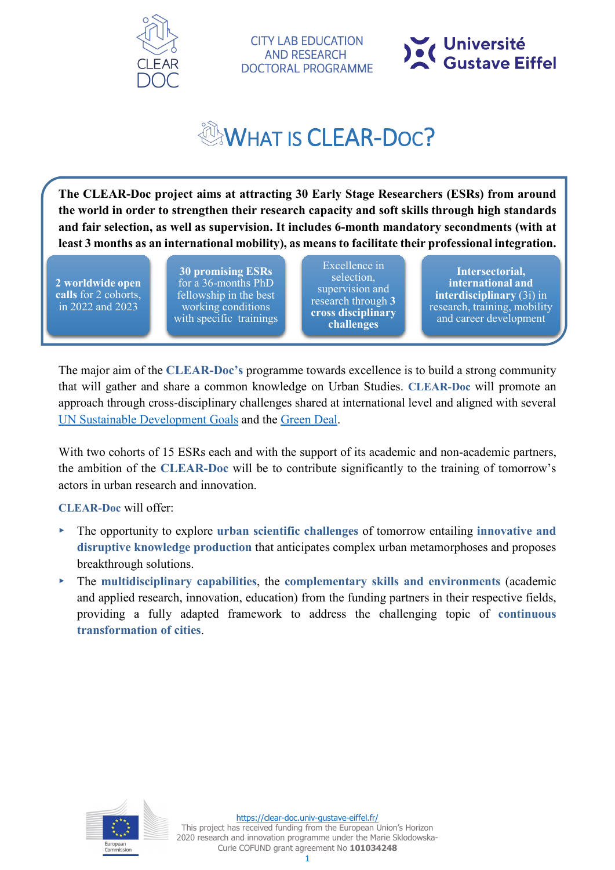

**CITY LAB EDUCATION AND RESEARCH DOCTORAL PROGRAMME** 



# **WHAT IS CLEAR-DOC?**

**The CLEAR-Doc project aims at attracting 30 Early Stage Researchers (ESRs) from around the world in order to strengthen their research capacity and soft skills through high standards and fair selection, as well as supervision. It includes 6-month mandatory secondments (with at least 3 months as an international mobility), as means to facilitate their professional integration.** 

**2 worldwide open calls** for 2 cohorts, in 2022 and 2023

**30 promising ESRs** for a 36-months PhD fellowship in the best working conditions with specific trainings

Excellence in selection, supervision and research through **3 cross disciplinary challenges**

**Intersectorial, international and interdisciplinary** (3i) in research, training, mobility and career development

The major aim of the **CLEAR-Doc's** programme towards excellence is to build a strong community that will gather and share a common knowledge on Urban Studies. **CLEAR-Doc** will promote an approach through cross-disciplinary challenges shared at international level and aligned with several [UN Sustainable Development Goals](https://www.un.org/sustainabledevelopment/sustainable-development-goals/) and the [Green Deal.](https://ec.europa.eu/info/strategy/priorities-2019-2024/european-green-deal_en)

With two cohorts of 15 ESRs each and with the support of its academic and non-academic partners, the ambition of the **CLEAR-Doc** will be to contribute significantly to the training of tomorrow's actors in urban research and innovation.

**CLEAR-Doc** will offer:

- ▸ The opportunity to explore **urban scientific challenges** of tomorrow entailing **innovative and disruptive knowledge production** that anticipates complex urban metamorphoses and proposes breakthrough solutions.
- ▸ The **multidisciplinary capabilities**, the **complementary skills and environments** (academic and applied research, innovation, education) from the funding partners in their respective fields, providing a fully adapted framework to address the challenging topic of **continuous transformation of cities**.

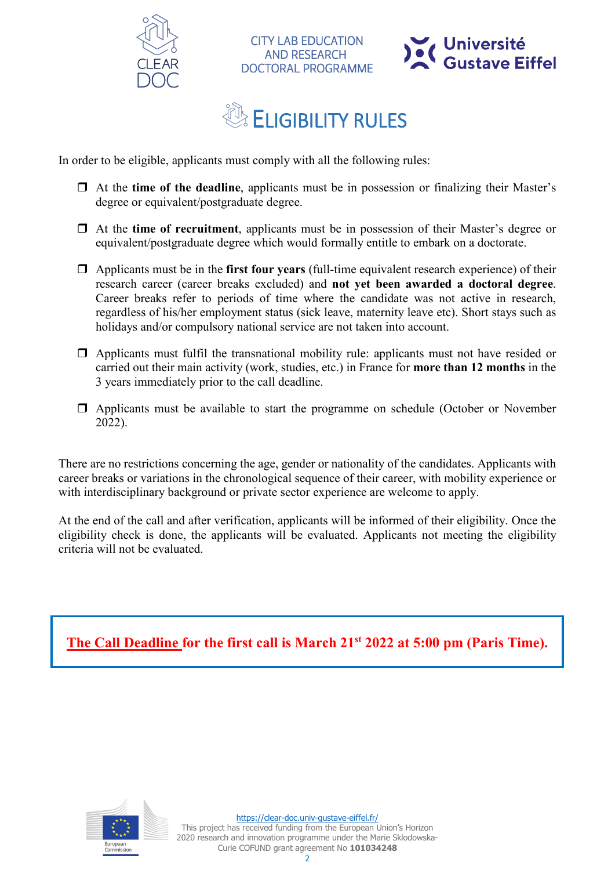



### **ELIGIBILITY RULES**

**CITY LAB EDUCATION AND RESEARCH DOCTORAL PROGRAMME** 

In order to be eligible, applicants must comply with all the following rules:

- At the **time of the deadline**, applicants must be in possession or finalizing their Master's degree or equivalent/postgraduate degree.
- At the **time of recruitment**, applicants must be in possession of their Master's degree or equivalent/postgraduate degree which would formally entitle to embark on a doctorate.
- Applicants must be in the **first four years** (full-time equivalent research experience) of their research career (career breaks excluded) and **not yet been awarded a doctoral degree**. Career breaks refer to periods of time where the candidate was not active in research, regardless of his/her employment status (sick leave, maternity leave etc). Short stays such as holidays and/or compulsory national service are not taken into account.
- $\Box$  Applicants must fulfil the transnational mobility rule: applicants must not have resided or carried out their main activity (work, studies, etc.) in France for **more than 12 months** in the 3 years immediately prior to the call deadline.
- $\Box$  Applicants must be available to start the programme on schedule (October or November 2022).

There are no restrictions concerning the age, gender or nationality of the candidates. Applicants with career breaks or variations in the chronological sequence of their career, with mobility experience or with interdisciplinary background or private sector experience are welcome to apply.

At the end of the call and after verification, applicants will be informed of their eligibility. Once the eligibility check is done, the applicants will be evaluated. Applicants not meeting the eligibility criteria will not be evaluated.

**The Call Deadline for the first call is March 21st 2022 at 5:00 pm (Paris Time).**

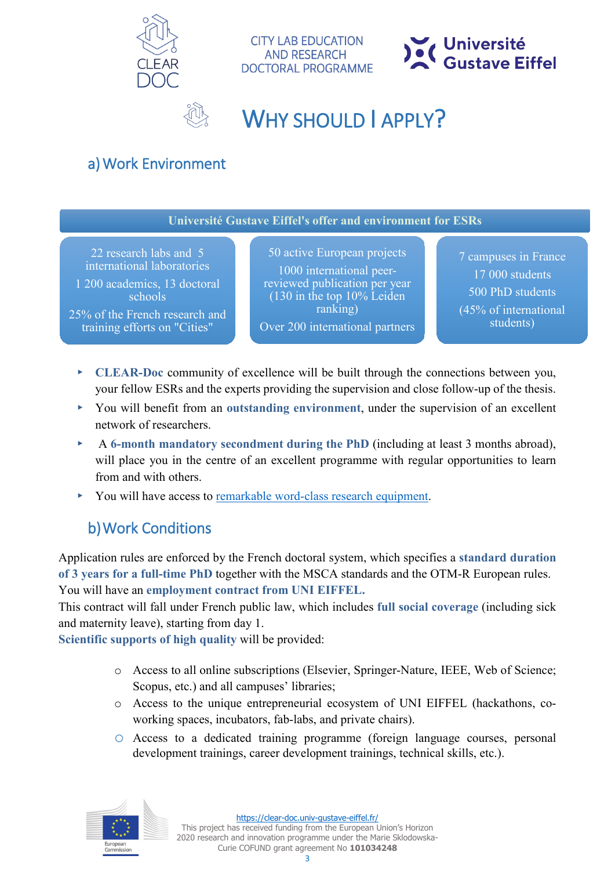

**CITY LAB EDUCATION AND RESEARCH DOCTORAL PROGRAMME** 



### WHY SHOULD LAPPLY?

### a)Work Environment

**Université Gustave Eiffel's offer and environment for ESRs**

22 research labs and 5 international laboratories

1 200 academics, 13 doctoral schools

25% of the French research and training efforts on "Cities"

50 active European projects 1000 international peerreviewed publication per year (130 in the top 10% Leiden ranking) Over 200 international partners

7 campuses in France 17 000 students 500 PhD students (45% of international students)

- ▸ **CLEAR-Doc** community of excellence will be built through the connections between you, your fellow ESRs and the experts providing the supervision and close follow-up of the thesis.
- ▸ You will benefit from an **outstanding environment**, under the supervision of an excellent network of researchers.
- ▸ A **6-month mandatory secondment during the PhD** (including at least 3 months abroad), will place you in the centre of an excellent programme with regular opportunities to learn from and with others.
- You will have access to [remarkable word-class research equipment.](https://www.univ-gustave-eiffel.fr/en/the-university/our-exceptional-facilities/)

### b)Work Conditions

Application rules are enforced by the French doctoral system, which specifies a **standard duration of 3 years for a full-time PhD** together with the MSCA standards and the OTM-R European rules. You will have an **employment contract from UNI EIFFEL.**

This contract will fall under French public law, which includes **full social coverage** (including sick and maternity leave), starting from day 1.

**Scientific supports of high quality** will be provided:

- o Access to all online subscriptions (Elsevier, Springer-Nature, IEEE, Web of Science; Scopus, etc.) and all campuses' libraries;
- o Access to the unique entrepreneurial ecosystem of UNI EIFFEL (hackathons, coworking spaces, incubators, fab-labs, and private chairs).
- o Access to a dedicated training programme (foreign language courses, personal development trainings, career development trainings, technical skills, etc.).



This project has received funding from the European Union's Horizon 2020 research and innovation programme under the Marie Sklodowska-Curie COFUND grant agreement No **101034248**